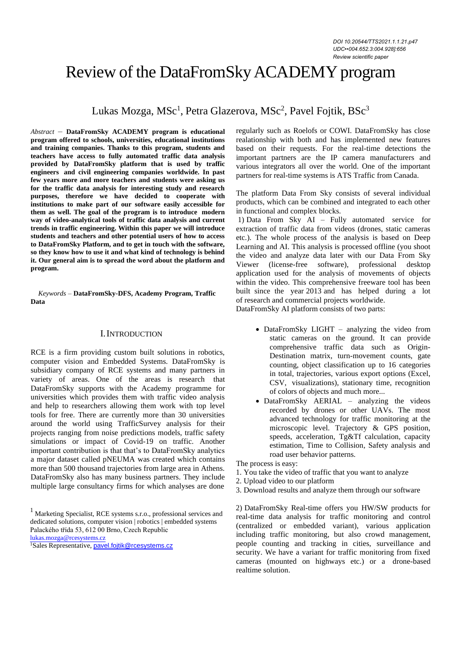# Review of the DataFromSkyACADEMY program

Lukas Mozga, MSc<sup>1</sup>, Petra Glazerova, MSc<sup>2</sup>, Pavel Fojtik, BSc<sup>3</sup>

*Abstract –* **DataFromSky ACADEMY program is educational program offered to schools, universities, educational institutions and training companies. Thanks to this program, students and teachers have access to fully automated traffic data analysis provided by DataFromSky platform that is used by traffic engineers and civil engineering companies worldwide. In past few years more and more teachers and students were asking us for the traffic data analysis for interesting study and research purposes, therefore we have decided to cooperate with institutions to make part of our software easily accessible for them as well. The goal of the program is to introduce modern way of video-analytical tools of traffic data analysis and current trends in traffic engineering. Within this paper we will introduce students and teachers and other potential users of how to access to DataFromSky Platform, and to get in touch with the software, so they know how to use it and what kind of technology is behind it. Our general aim is to spread the word about the platform and program.**

*Keywords –* **DataFromSky-DFS, Academy Program, Traffic Data**

## I.INTRODUCTION

RCE is a firm providing custom built solutions in robotics, computer vision and Embedded Systems. DataFromSky is subsidiary company of RCE systems and many partners in variety of areas. One of the areas is research that DataFromSky supports with the Academy programme for universities which provides them with traffic video analysis and help to researchers allowing them work with top level tools for free. There are currently more than 30 universities around the world using TrafficSurvey analysis for their projects ranging from noise predictions models, traffic safety simulations or impact of Covid-19 on traffic. Another important contribution is that that's to DataFromSky analytics a major dataset called pNEUMA was created which contains more than 500 thousand trajectories from large area in Athens. DataFromSky also has many business partners. They include multiple large consultancy firms for which analyses are done

<sup>1</sup> Marketing Specialist, RCE systems s.r.o., professional services and dedicated solutions, computer vision | robotics | embedded systems Palackého třída 53, 612 00 Brno, Czech Republic

[lukas.mozga@rcesystems.cz](mailto:lukas.mozga@rcesystems.cz)

<sup>1</sup>Sales Representative, [pavel.fojtik@rcesystems.cz](mailto:pavel.fojtik@rcesystems.cz)

regularly such as Roelofs or COWI. DataFromSky has close realationship with both and has implemented new features based on their requests. For the real-time detections the important partners are the IP camera manufacturers and various integrators all over the world. One of the important partners for real-time systems is ATS Traffic from Canada.

The platform Data From Sky consists of several individual products, which can be combined and integrated to each other in functional and complex blocks.

1) Data From Sky AI – Fully automated service for extraction of traffic data from videos (drones, static cameras etc.). The whole process of the analysis is based on Deep Learning and AI. This analysis is processed offline (you shoot the video and analyze data later with our Data From Sky Viewer (license-free software), professional desktop application used for the analysis of movements of objects within the video. This comprehensive freeware tool has been built since the year 2013 and has helped during a lot of research and commercial projects worldwide. DataFromSky AI platform consists of two parts:

• DataFromSky LIGHT – analyzing the video from static cameras on the ground. It can provide comprehensive traffic data such as Origin-Destination matrix, turn-movement counts, gate counting, object classification up to 16 categories in total, trajectories, various export options (Excel, CSV, visualizations), stationary time, recognition of colors of objects and much more...

• DataFromSky AERIAL – analyzing the videos recorded by drones or other UAVs. The most advanced technology for traffic monitoring at the microscopic level. Trajectory & GPS position, speeds, acceleration, Tg&Tf calculation, capacity estimation, Time to Collision, Safety analysis and road user behavior patterns.

The process is easy:

- 1. You take the video of traffic that you want to analyze
- 2. Upload video to our platform
- 3. Download results and analyze them through our software

2) DataFromSky Real-time offers you HW/SW products for real-time data analysis for traffic monitoring and control (centralized or embedded variant), various application including traffic monitoring, but also crowd management, people counting and tracking in cities, surveillance and security. We have a variant for traffic monitoring from fixed cameras (mounted on highways etc.) or a drone-based realtime solution.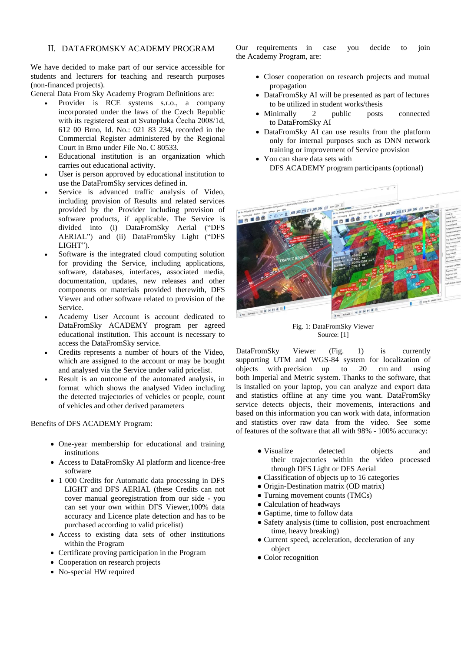# II. DATAFROMSKY ACADEMY PROGRAM

We have decided to make part of our service accessible for students and lecturers for teaching and research purposes (non-financed projects).

General Data From Sky Academy Program Definitions are:

- Provider is RCE systems s.r.o., a company incorporated under the laws of the Czech Republic with its registered seat at Svatopluka Čecha 2008/1d, 612 00 Brno, Id. No.: 021 83 234, recorded in the Commercial Register administered by the Regional Court in Brno under File No. C 80533.
- Educational institution is an organization which carries out educational activity.
- User is person approved by educational institution to use the DataFromSky services defined in.
- Service is advanced traffic analysis of Video, including provision of Results and related services provided by the Provider including provision of software products, if applicable. The Service is divided into (i) DataFromSky Aerial ("DFS AERIAL") and (ii) DataFromSky Light ("DFS LIGHT").
- Software is the integrated cloud computing solution for providing the Service, including applications, software, databases, interfaces, associated media, documentation, updates, new releases and other components or materials provided therewith, DFS Viewer and other software related to provision of the Service.
- Academy User Account is account dedicated to DataFromSky ACADEMY program per agreed educational institution. This account is necessary to access the DataFromSky service.
- Credits represents a number of hours of the Video, which are assigned to the account or may be bought and analysed via the Service under valid pricelist.
- Result is an outcome of the automated analysis, in format which shows the analysed Video including the detected trajectories of vehicles or people, count of vehicles and other derived parameters

Benefits of DFS ACADEMY Program:

- One-year membership for educational and training institutions
- Access to DataFromSky AI platform and licence-free software
- 1 000 Credits for Automatic data processing in DFS LIGHT and DFS AERIAL (these Credits can not cover manual georegistration from our side - you can set your own within DFS Viewer,100% data accuracy and Licence plate detection and has to be purchased according to valid pricelist)
- Access to existing data sets of other institutions within the Program
- Certificate proving participation in the Program
- Cooperation on research projects
- No-special HW required

Our requirements in case you decide to join the Academy Program, are:

- Closer cooperation on research projects and mutual propagation
- DataFromSky AI will be presented as part of lectures to be utilized in student works/thesis
- Minimally 2 public posts connected to DataFromSky AI
- DataFromSky AI can use results from the platform only for internal purposes such as DNN network training or improvement of Service provision
- You can share data sets with DFS ACADEMY program participants (optional)



Fig. 1: DataFromSky Viewer Source: [1]

DataFromSky Viewer (Fig. 1) is currently supporting UTM and WGS-84 system for localization of objects with precision up to 20 cm and using both Imperial and Metric system. Thanks to the software, that is installed on your laptop, you can analyze and export data and statistics offline at any time you want. DataFromSky service detects objects, their movements, interactions and based on this information you can work with data, information and statistics over raw data from the video. See some of features of the software that all with 98% - 100% accuracy:

- Visualize detected objects and their trajectories within the video processed through DFS Light or DFS Aerial
- Classification of objects up to 16 categories
- Origin-Destination matrix (OD matrix)
- Turning movement counts (TMCs)
- Calculation of headways
- Gaptime, time to follow data
- Safety analysis (time to collision, post encroachment time, heavy breaking)
- Current speed, acceleration, deceleration of any object
- Color recognition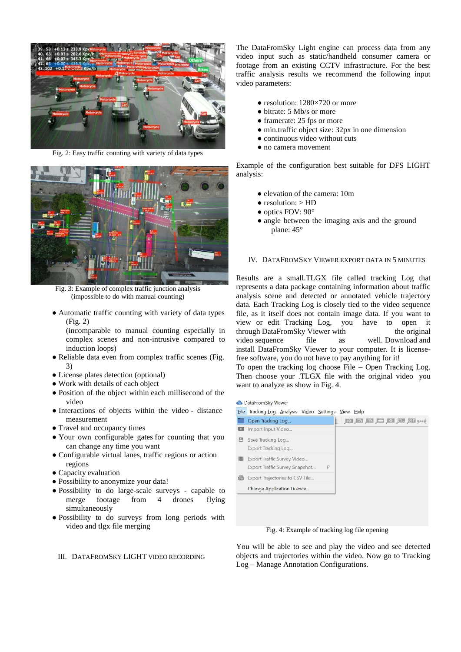

Fig. 2: Easy traffic counting with variety of data types



Fig. 3: Example of complex traffic junction analysis (impossible to do with manual counting)

● Automatic traffic counting with variety of data types (Fig. 2)

(incomparable to manual counting especially in complex scenes and non-intrusive compared to induction loops)

- Reliable data even from complex traffic scenes (Fig. 3)
- License plates detection (optional)
- Work with details of each object
- Position of the object within each millisecond of the video
- Interactions of objects within the video distance measurement
- Travel and occupancy times
- Your own configurable gates for counting that you can change any time you want
- Configurable virtual lanes, traffic regions or action regions
- Capacity evaluation
- Possibility to anonymize your data!
- Possibility to do large-scale surveys capable to merge footage from 4 drones flying simultaneously
- Possibility to do surveys from long periods with video and tlgx file merging

The DataFromSky Light engine can process data from any video input such as static/handheld consumer camera or footage from an existing CCTV infrastructure. For the best traffic analysis results we recommend the following input video parameters:

- $\bullet$  resolution: 1280×720 or more
- bitrate: 5 Mb/s or more
- framerate: 25 fps or more
- min.traffic object size: 32px in one dimension
- continuous video without cuts
- no camera movement

Example of the configuration best suitable for DFS LIGHT analysis:

- elevation of the camera: 10m
- $\bullet$  resolution:  $>$  HD
- optics FOV: 90°
- angle between the imaging axis and the ground plane: 45°

## IV. DATAFROMSKY VIEWER EXPORT DATA IN 5 MINUTES

Results are a small.TLGX file called tracking Log that represents a data package containing information about traffic analysis scene and detected or annotated vehicle trajectory data. Each Tracking Log is closely tied to the video sequence file, as it itself does not contain image data. If you want to view or edit Tracking Log, you have to open it through DataFromSky Viewer with the original video sequence file as well. Download and install DataFromSky Viewer to your computer. It is licensefree software, you do not have to pay anything for it!

To open the tracking log choose File – Open Tracking Log. Then choose your .TLGX file with the original video you want to analyze as show in Fig. 4.

#### **O** DataFromSky Viewer

Eile Tracking Log Analysis Video Settings View Help

|            | Open Tracking Log                                             |   |  |
|------------|---------------------------------------------------------------|---|--|
|            | Import Input Video                                            |   |  |
| ⊞          | Save Tracking Log<br>Export Tracking Log                      |   |  |
|            | Export Traffic Survey Video<br>Export Traffic Survey Snapshot | P |  |
| <b>CSV</b> | Export Trajectories to CSV File                               |   |  |
|            | Change Application Licence                                    |   |  |

Fig. 4: Example of tracking log file opening

You will be able to see and play the video and see detected objects and trajectories within the video. Now go to Tracking Log – Manage Annotation Configurations.

## III. DATAFROMSKY LIGHT VIDEO RECORDING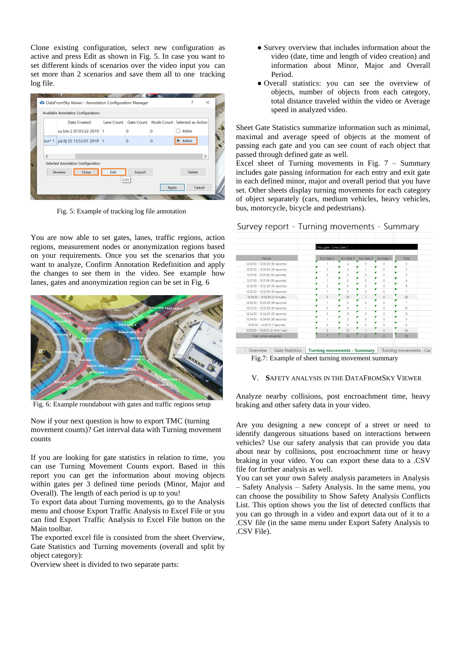Clone existing configuration, select new configuration as active and press Edit as shown in Fig. 5. In case you want to set different kinds of scenarios over the video input you can set more than 2 scenarios and save them all to one tracking log file.

|           | Date Created                      | Lane Count Gate Count Node Count Selected as Active |                |          |               |  |
|-----------|-----------------------------------|-----------------------------------------------------|----------------|----------|---------------|--|
|           | so bře 2.07:05:22.2019 1          |                                                     | $\Omega$       | n        | Active        |  |
| $ion* 1$  | pá říj 25 15:52:07 2019 1         |                                                     | $\overline{0}$ | $\Omega$ | Active        |  |
| $\langle$ | Selected Annotation Configuration |                                                     |                |          | $\rightarrow$ |  |
|           | Clone<br>Preview                  | Edit                                                | Import         |          | Delete        |  |

Fig. 5: Example of tracking log file annotation

You are now able to set gates, lanes, traffic regions, action regions, measurement nodes or anonymization regions based on your requirements. Once you set the scenarios that you want to analyze, Confirm Annotation Redefinition and apply the changes to see them in the video. See example how lanes, gates and anonymization region can be set in Fig. 6



Fig. 6: Example roundabout with gates and traffic regions setup

Now if your next question is how to export TMC (turning movement counts)? Get interval data with Turning movement counts

If you are looking for gate statistics in relation to time, you can use Turning Movement Counts export. Based in this report you can get the information about moving objects within gates per 3 defined time periods (Minor, Major and Overall). The length of each period is up to you!

To export data about Turning movements, go to the Analysis menu and choose Export Traffic Analysis to Excel File or you can find Export Traffic Analysis to Excel File button on the Main toolbar.

The exported excel file is consisted from the sheet Overview, Gate Statistics and Turning movements (overall and split by object category):

Overview sheet is divided to two separate parts:

- Survey overview that includes information about the video (date, time and length of video creation) and information about Minor, Major and Overall Period.
- Overall statistics: you can see the overview of objects, number of objects from each category, total distance traveled within the video or Average speed in analyzed video.

Sheet Gate Statistics summarize information such as minimal, maximal and average speed of objects at the moment of passing each gate and you can see count of each object that passed through defined gate as well.

Excel sheet of Turning movements in Fig.  $7 -$  Summary includes gate passing information for each entry and exit gate in each defined minor, major and overall period that you have set. Other sheets display turning movements for each category of object separately (cars, medium vehicles, heavy vehicles, bus, motorcycle, bicycle and pedestrians).

| Survey report - Turning movements - Summary |  |  |  |
|---------------------------------------------|--|--|--|
|---------------------------------------------|--|--|--|

|                                    | Entry gate - Entry Gate 1 |                |                |                |       |
|------------------------------------|---------------------------|----------------|----------------|----------------|-------|
| Period                             | Exit Gate 4               | Exit Gate 3    | Exit Gate 2    | Exit Gate 1    | Total |
| 12:00:00 - 12:00:29 (30 seconds)   |                           | 4              | Ō              | ō              | 5     |
| 12:00:30 - 12:00:59 (30 seconds)   | Ō                         | 4              |                | ö              | 5     |
| 12:01:00 - 12:01:29 (30 seconds)   | Ō                         | 3              | Ō              | ٥              | 3     |
| 12:01:30 - 12:01:59 (30 seconds)   |                           | ٩              | Ō              | ö              | 4     |
| 12:02:00 - 12:02:29 (30 seconds)   | $\overline{c}$            | 6              | Ō              | ö              | R     |
| 12:02:30 - 12:02:59 (30 seconds)   |                           | Ō              | Ò              | ö              |       |
| 12:00:00 - 12:02:59 (3 minutes)    | 5                         | 20             |                | o              | 26    |
| 12:03:00 - 12:03:29 (30 seconds)   |                           | n              | Ō              | ö              |       |
| 12:03:30 - 12:03:59 (30 seconds)   | ö                         | 9              |                | o              | 10    |
| 12:04:00 - 12:04:29 (30 seconds)   | $\bullet$                 | 10             | Ō              | Ō              | 10    |
| 12:04:30 - 12:04:59 (30 seconds)   |                           | $\overline{a}$ | ٥              | Ō              | 3     |
| 12:05:00 - 12:05:01 (1 seconds)    | Ō                         | O              | o              | Ō              | Ò     |
| 12:03:00 - 12:05:01 (2 mins 1 sec) | $\overline{a}$            | 21             |                | ō              | 24    |
| Total (whole sequence)             | $\overline{7}$            | 41             | $\overline{c}$ | $\overline{0}$ | 50    |

Fig.7: Example of sheet turning movement summary

### V. **S**AFETY ANALYSIS IN THE DATAFROMSKY VIEWER

Analyze nearby collisions, post encroachment time, heavy braking and other safety data in your video.

Are you designing a new concept of a street or need to identify dangerous situations based on interactions between vehicles? Use our safety analysis that can provide you data about near by collisions, post encroachment time or heavy braking in your video. You can export these data to a .CSV file for further analysis as well.

You can set your own Safety analysis parameters in Analysis – Safety Analysis – Safety Analysis. In the same menu, you can choose the possibility to Show Safety Analysis Conflicts List. This option shows you the list of detected conflicts that you can go through in a video and export data out of it to a .CSV file (in the same menu under Export Safety Analysis to .CSV File).